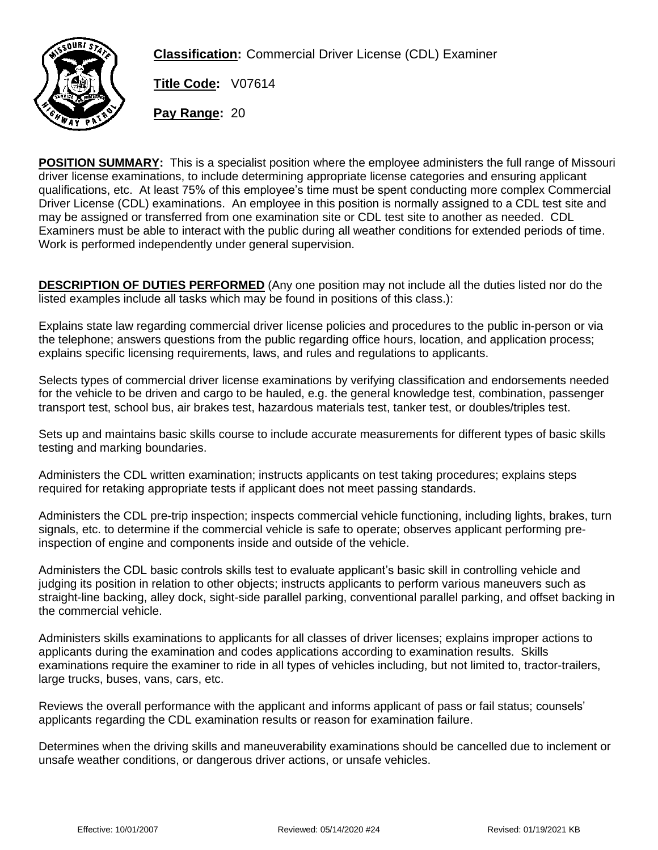

**Classification:** Commercial Driver License (CDL) Examiner

**Title Code:** V07614

**Pay Range:** 20

**POSITION SUMMARY:** This is a specialist position where the employee administers the full range of Missouri driver license examinations, to include determining appropriate license categories and ensuring applicant qualifications, etc. At least 75% of this employee's time must be spent conducting more complex Commercial Driver License (CDL) examinations. An employee in this position is normally assigned to a CDL test site and may be assigned or transferred from one examination site or CDL test site to another as needed. CDL Examiners must be able to interact with the public during all weather conditions for extended periods of time. Work is performed independently under general supervision.

**DESCRIPTION OF DUTIES PERFORMED** (Any one position may not include all the duties listed nor do the listed examples include all tasks which may be found in positions of this class.):

Explains state law regarding commercial driver license policies and procedures to the public in-person or via the telephone; answers questions from the public regarding office hours, location, and application process; explains specific licensing requirements, laws, and rules and regulations to applicants.

Selects types of commercial driver license examinations by verifying classification and endorsements needed for the vehicle to be driven and cargo to be hauled, e.g. the general knowledge test, combination, passenger transport test, school bus, air brakes test, hazardous materials test, tanker test, or doubles/triples test.

Sets up and maintains basic skills course to include accurate measurements for different types of basic skills testing and marking boundaries.

Administers the CDL written examination; instructs applicants on test taking procedures; explains steps required for retaking appropriate tests if applicant does not meet passing standards.

Administers the CDL pre-trip inspection; inspects commercial vehicle functioning, including lights, brakes, turn signals, etc. to determine if the commercial vehicle is safe to operate; observes applicant performing preinspection of engine and components inside and outside of the vehicle.

Administers the CDL basic controls skills test to evaluate applicant's basic skill in controlling vehicle and judging its position in relation to other objects; instructs applicants to perform various maneuvers such as straight-line backing, alley dock, sight-side parallel parking, conventional parallel parking, and offset backing in the commercial vehicle.

Administers skills examinations to applicants for all classes of driver licenses; explains improper actions to applicants during the examination and codes applications according to examination results. Skills examinations require the examiner to ride in all types of vehicles including, but not limited to, tractor-trailers, large trucks, buses, vans, cars, etc.

Reviews the overall performance with the applicant and informs applicant of pass or fail status; counsels' applicants regarding the CDL examination results or reason for examination failure.

Determines when the driving skills and maneuverability examinations should be cancelled due to inclement or unsafe weather conditions, or dangerous driver actions, or unsafe vehicles.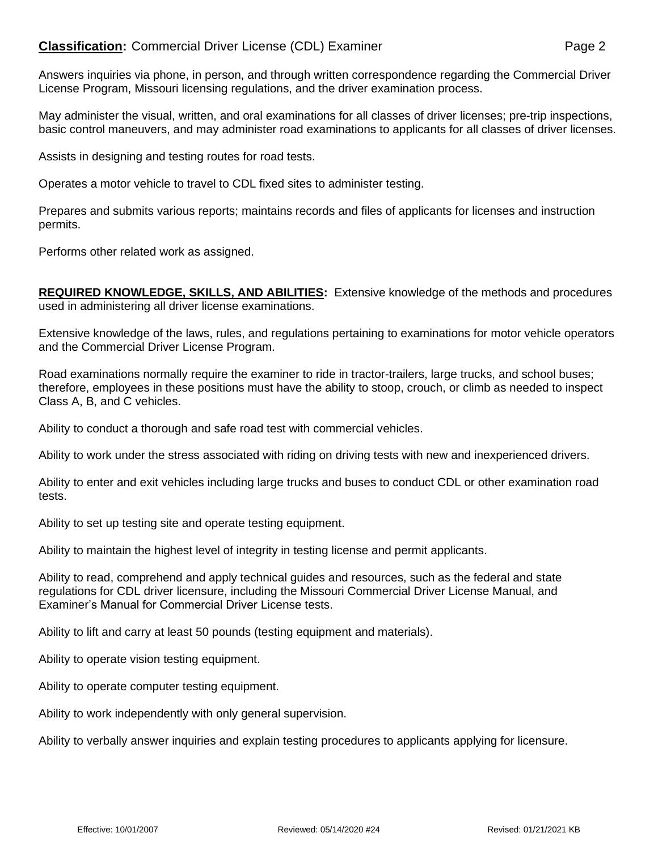## **Classification:** Commercial Driver License (CDL) Examiner **Examiner** Page 2

Answers inquiries via phone, in person, and through written correspondence regarding the Commercial Driver License Program, Missouri licensing regulations, and the driver examination process.

May administer the visual, written, and oral examinations for all classes of driver licenses; pre-trip inspections, basic control maneuvers, and may administer road examinations to applicants for all classes of driver licenses.

Assists in designing and testing routes for road tests.

Operates a motor vehicle to travel to CDL fixed sites to administer testing.

Prepares and submits various reports; maintains records and files of applicants for licenses and instruction permits.

Performs other related work as assigned.

**REQUIRED KNOWLEDGE, SKILLS, AND ABILITIES:** Extensive knowledge of the methods and procedures used in administering all driver license examinations.

Extensive knowledge of the laws, rules, and regulations pertaining to examinations for motor vehicle operators and the Commercial Driver License Program.

Road examinations normally require the examiner to ride in tractor-trailers, large trucks, and school buses; therefore, employees in these positions must have the ability to stoop, crouch, or climb as needed to inspect Class A, B, and C vehicles.

Ability to conduct a thorough and safe road test with commercial vehicles.

Ability to work under the stress associated with riding on driving tests with new and inexperienced drivers.

Ability to enter and exit vehicles including large trucks and buses to conduct CDL or other examination road tests.

Ability to set up testing site and operate testing equipment.

Ability to maintain the highest level of integrity in testing license and permit applicants.

Ability to read, comprehend and apply technical guides and resources, such as the federal and state regulations for CDL driver licensure, including the Missouri Commercial Driver License Manual, and Examiner's Manual for Commercial Driver License tests.

Ability to lift and carry at least 50 pounds (testing equipment and materials).

Ability to operate vision testing equipment.

Ability to operate computer testing equipment.

Ability to work independently with only general supervision.

Ability to verbally answer inquiries and explain testing procedures to applicants applying for licensure.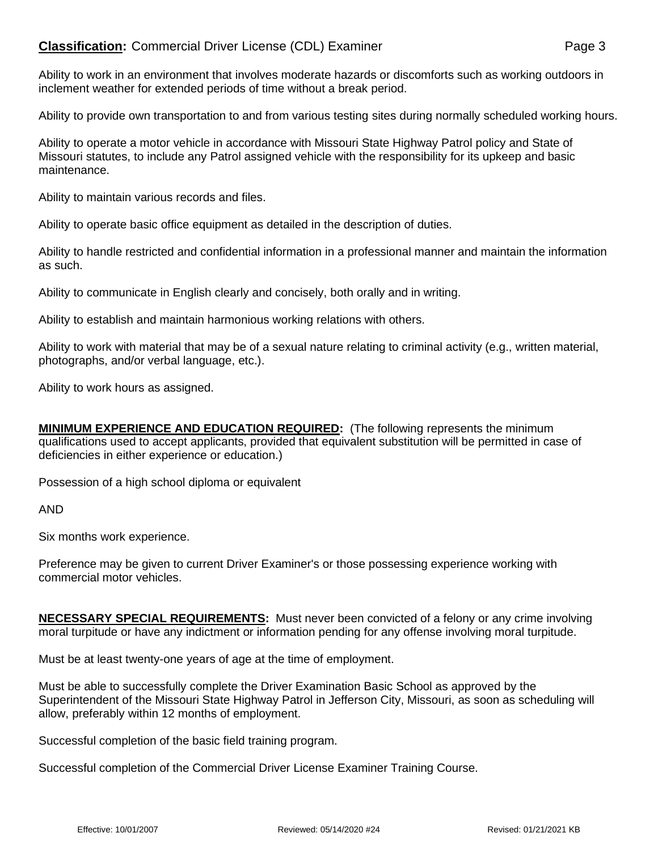## **Classification:** Commercial Driver License (CDL) Examiner **Examiner** Page 3

Ability to work in an environment that involves moderate hazards or discomforts such as working outdoors in inclement weather for extended periods of time without a break period.

Ability to provide own transportation to and from various testing sites during normally scheduled working hours.

Ability to operate a motor vehicle in accordance with Missouri State Highway Patrol policy and State of Missouri statutes, to include any Patrol assigned vehicle with the responsibility for its upkeep and basic maintenance.

Ability to maintain various records and files.

Ability to operate basic office equipment as detailed in the description of duties.

Ability to handle restricted and confidential information in a professional manner and maintain the information as such.

Ability to communicate in English clearly and concisely, both orally and in writing.

Ability to establish and maintain harmonious working relations with others.

Ability to work with material that may be of a sexual nature relating to criminal activity (e.g., written material, photographs, and/or verbal language, etc.).

Ability to work hours as assigned.

**MINIMUM EXPERIENCE AND EDUCATION REQUIRED:** (The following represents the minimum qualifications used to accept applicants, provided that equivalent substitution will be permitted in case of deficiencies in either experience or education.)

Possession of a high school diploma or equivalent

AND

Six months work experience.

Preference may be given to current Driver Examiner's or those possessing experience working with commercial motor vehicles.

**NECESSARY SPECIAL REQUIREMENTS:** Must never been convicted of a felony or any crime involving moral turpitude or have any indictment or information pending for any offense involving moral turpitude.

Must be at least twenty-one years of age at the time of employment.

Must be able to successfully complete the Driver Examination Basic School as approved by the Superintendent of the Missouri State Highway Patrol in Jefferson City, Missouri, as soon as scheduling will allow, preferably within 12 months of employment.

Successful completion of the basic field training program.

Successful completion of the Commercial Driver License Examiner Training Course.